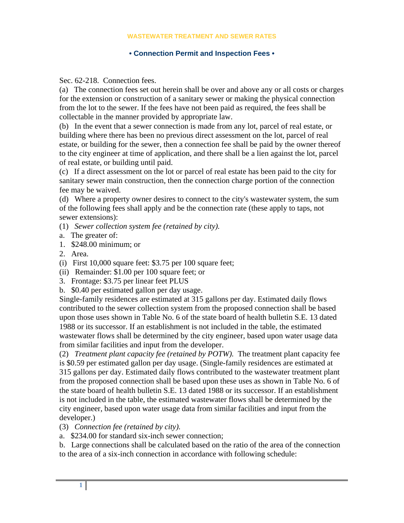#### **WASTEWATER TREATMENT AND SEWER RATES**

### **• Connection Permit and Inspection Fees •**

Sec. 62-218. Connection fees.

(a) The connection fees set out herein shall be over and above any or all costs or charges for the extension or construction of a sanitary sewer or making the physical connection from the lot to the sewer. If the fees have not been paid as required, the fees shall be collectable in the manner provided by appropriate law.

(b) In the event that a sewer connection is made from any lot, parcel of real estate, or building where there has been no previous direct assessment on the lot, parcel of real estate, or building for the sewer, then a connection fee shall be paid by the owner thereof to the city engineer at time of application, and there shall be a lien against the lot, parcel of real estate, or building until paid.

(c) If a direct assessment on the lot or parcel of real estate has been paid to the city for sanitary sewer main construction, then the connection charge portion of the connection fee may be waived.

(d) Where a property owner desires to connect to the city's wastewater system, the sum of the following fees shall apply and be the connection rate (these apply to taps, not sewer extensions):

- (1) *Sewer collection system fee (retained by city).*
- a. The greater of:
- 1. \$248.00 minimum; or
- 2. Area.
- (i) First 10,000 square feet: \$3.75 per 100 square feet;
- (ii) Remainder: \$1.00 per 100 square feet; or
- 3. Frontage: \$3.75 per linear feet PLUS
- b. \$0.40 per estimated gallon per day usage.

Single-family residences are estimated at 315 gallons per day. Estimated daily flows contributed to the sewer collection system from the proposed connection shall be based upon those uses shown in Table No. 6 of the state board of health bulletin S.E. 13 dated 1988 or its successor. If an establishment is not included in the table, the estimated wastewater flows shall be determined by the city engineer, based upon water usage data from similar facilities and input from the developer.

(2) *Treatment plant capacity fee (retained by POTW).* The treatment plant capacity fee is \$0.59 per estimated gallon per day usage. (Single-family residences are estimated at 315 gallons per day. Estimated daily flows contributed to the wastewater treatment plant from the proposed connection shall be based upon these uses as shown in Table No. 6 of the state board of health bulletin S.E. 13 dated 1988 or its successor. If an establishment is not included in the table, the estimated wastewater flows shall be determined by the city engineer, based upon water usage data from similar facilities and input from the developer.)

- (3) *Connection fee (retained by city).*
- a. \$234.00 for standard six-inch sewer connection;

b. Large connections shall be calculated based on the ratio of the area of the connection to the area of a six-inch connection in accordance with following schedule: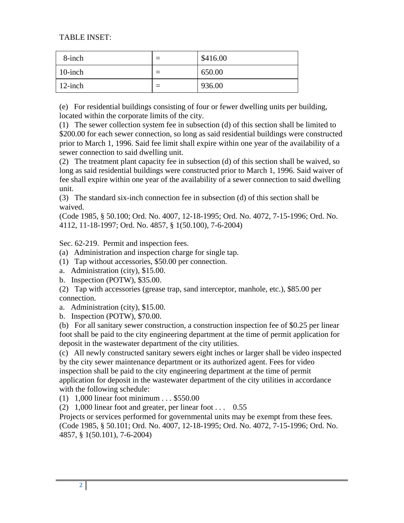# TABLE INSET:

| 8-inch     | \$416.00 |
|------------|----------|
| $10$ -inch | 650.00   |
| $12$ -inch | 936.00   |

(e) For residential buildings consisting of four or fewer dwelling units per building, located within the corporate limits of the city.

(1) The sewer collection system fee in subsection (d) of this section shall be limited to \$200.00 for each sewer connection, so long as said residential buildings were constructed prior to March 1, 1996. Said fee limit shall expire within one year of the availability of a sewer connection to said dwelling unit.

(2) The treatment plant capacity fee in subsection (d) of this section shall be waived, so long as said residential buildings were constructed prior to March 1, 1996. Said waiver of fee shall expire within one year of the availability of a sewer connection to said dwelling unit.

(3) The standard six-inch connection fee in subsection (d) of this section shall be waived.

(Code 1985, § 50.100; Ord. No. 4007, 12-18-1995; Ord. No. 4072, 7-15-1996; Ord. No. 4112, 11-18-1997; Ord. No. 4857, § 1(50.100), 7-6-2004)

Sec. 62-219. Permit and inspection fees.

(a) Administration and inspection charge for single tap.

(1) Tap without accessories, \$50.00 per connection.

a. Administration (city), \$15.00.

b. Inspection (POTW), \$35.00.

(2) Tap with accessories (grease trap, sand interceptor, manhole, etc.), \$85.00 per connection.

a. Administration (city), \$15.00.

b. Inspection (POTW), \$70.00.

(b) For all sanitary sewer construction, a construction inspection fee of \$0.25 per linear foot shall be paid to the city engineering department at the time of permit application for deposit in the wastewater department of the city utilities.

(c) All newly constructed sanitary sewers eight inches or larger shall be video inspected by the city sewer maintenance department or its authorized agent. Fees for video inspection shall be paid to the city engineering department at the time of permit application for deposit in the wastewater department of the city utilities in accordance with the following schedule:

(1) 1,000 linear foot minimum . . . \$550.00

(2)  $1,000$  linear foot and greater, per linear foot . . . 0.55

Projects or services performed for governmental units may be exempt from these fees. (Code 1985, § 50.101; Ord. No. 4007, 12-18-1995; Ord. No. 4072, 7-15-1996; Ord. No. 4857, § 1(50.101), 7-6-2004)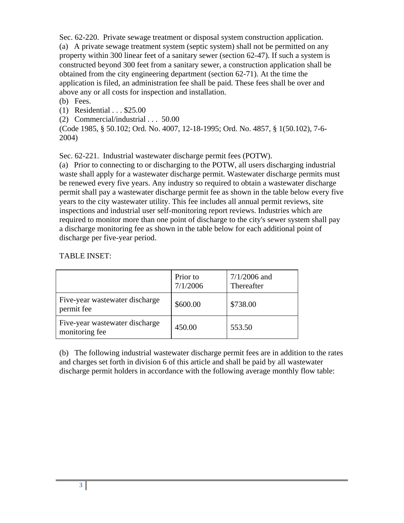Sec. 62-220. Private sewage treatment or disposal system construction application. (a) A private sewage treatment system (septic system) shall not be permitted on any property within 300 linear feet of a sanitary sewer (section 62-47). If such a system is constructed beyond 300 feet from a sanitary sewer, a construction application shall be obtained from the city engineering department (section 62-71). At the time the application is filed, an administration fee shall be paid. These fees shall be over and above any or all costs for inspection and installation.

## (b) Fees.

(1) Residential . . . \$25.00

(2) Commercial/industrial . . . 50.00

(Code 1985, § 50.102; Ord. No. 4007, 12-18-1995; Ord. No. 4857, § 1(50.102), 7-6- 2004)

Sec. 62-221. Industrial wastewater discharge permit fees (POTW).

(a) Prior to connecting to or discharging to the POTW, all users discharging industrial waste shall apply for a wastewater discharge permit. Wastewater discharge permits must be renewed every five years. Any industry so required to obtain a wastewater discharge permit shall pay a wastewater discharge permit fee as shown in the table below every five years to the city wastewater utility. This fee includes all annual permit reviews, site inspections and industrial user self-monitoring report reviews. Industries which are required to monitor more than one point of discharge to the city's sewer system shall pay a discharge monitoring fee as shown in the table below for each additional point of discharge per five-year period.

# TABLE INSET:

|                                                  | Prior to<br>7/1/2006 | $7/1/2006$ and<br>Thereafter |
|--------------------------------------------------|----------------------|------------------------------|
| Five-year wastewater discharge<br>permit fee     | \$600.00             | \$738.00                     |
| Five-year wastewater discharge<br>monitoring fee | 450.00               | 553.50                       |

(b) The following industrial wastewater discharge permit fees are in addition to the rates and charges set forth in division 6 of this article and shall be paid by all wastewater discharge permit holders in accordance with the following average monthly flow table: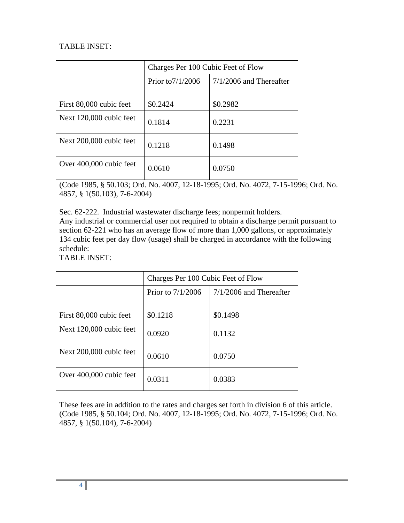# TABLE INSET:

|                         | Charges Per 100 Cubic Feet of Flow |                           |  |
|-------------------------|------------------------------------|---------------------------|--|
|                         | Prior to $7/1/2006$                | $7/1/2006$ and Thereafter |  |
| First 80,000 cubic feet | \$0.2424                           | \$0.2982                  |  |
| Next 120,000 cubic feet | 0.1814                             | 0.2231                    |  |
| Next 200,000 cubic feet | 0.1218                             | 0.1498                    |  |
| Over 400,000 cubic feet | 0.0610                             | 0.0750                    |  |

(Code 1985, § 50.103; Ord. No. 4007, 12-18-1995; Ord. No. 4072, 7-15-1996; Ord. No. 4857, § 1(50.103), 7-6-2004)

Sec. 62-222. Industrial wastewater discharge fees; nonpermit holders.

Any industrial or commercial user not required to obtain a discharge permit pursuant to section 62-221 who has an average flow of more than 1,000 gallons, or approximately 134 cubic feet per day flow (usage) shall be charged in accordance with the following schedule:

TABLE INSET:

|                         | Charges Per 100 Cubic Feet of Flow |                           |  |
|-------------------------|------------------------------------|---------------------------|--|
|                         | Prior to $7/1/2006$                | $7/1/2006$ and Thereafter |  |
| First 80,000 cubic feet | \$0.1218                           | \$0.1498                  |  |
| Next 120,000 cubic feet | 0.0920                             | 0.1132                    |  |
| Next 200,000 cubic feet | 0.0610                             | 0.0750                    |  |
| Over 400,000 cubic feet | 0.0311                             | 0.0383                    |  |

These fees are in addition to the rates and charges set forth in division 6 of this article. (Code 1985, § 50.104; Ord. No. 4007, 12-18-1995; Ord. No. 4072, 7-15-1996; Ord. No. 4857, § 1(50.104), 7-6-2004)